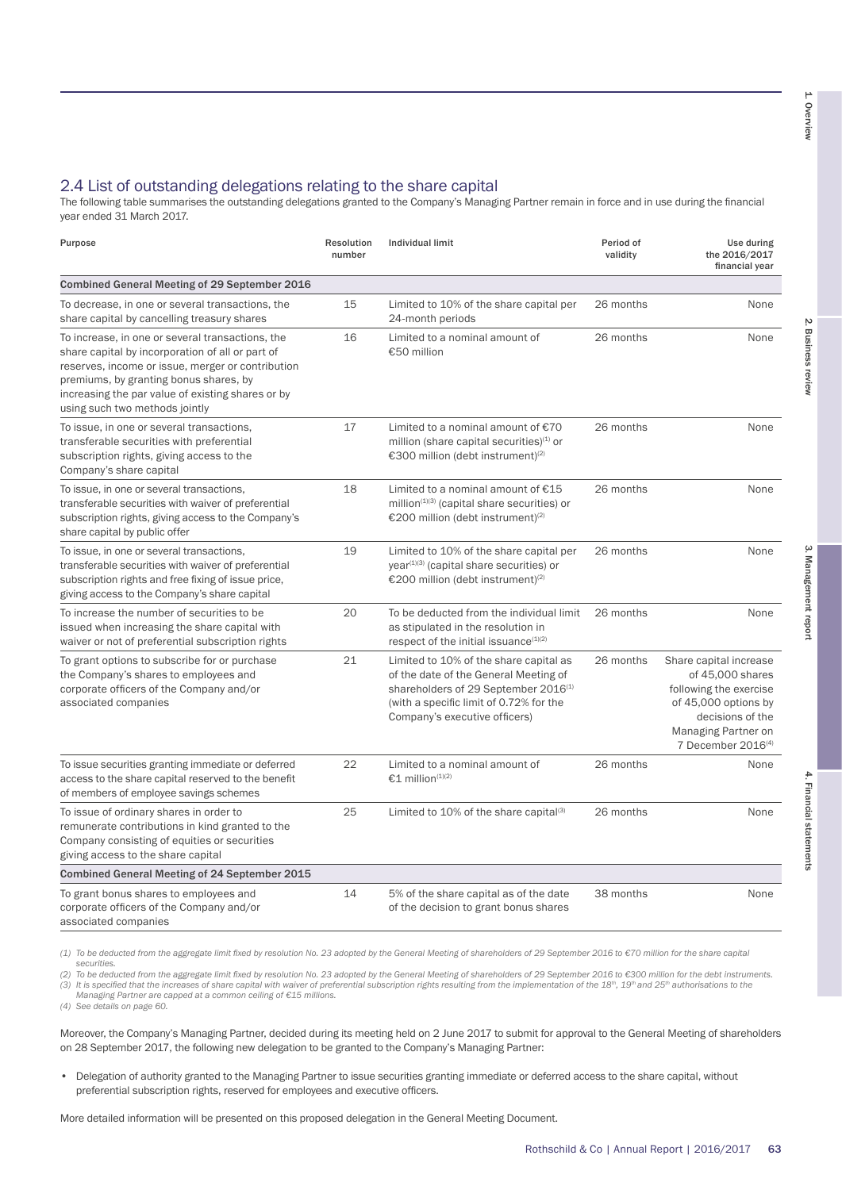## 2.4 List of outstanding delegations relating to the share capital

The following table summarises the outstanding delegations granted to the Company's Managing Partner remain in force and in use during the financial year ended 31 March 2017.

| Purpose                                                                                                                                                                                                                                                                                    | Resolution<br>number | <b>Individual limit</b>                                                                                                                                                                                         | Period of<br>validity | Use during<br>the 2016/2017<br>financial year                                                                                                                             |
|--------------------------------------------------------------------------------------------------------------------------------------------------------------------------------------------------------------------------------------------------------------------------------------------|----------------------|-----------------------------------------------------------------------------------------------------------------------------------------------------------------------------------------------------------------|-----------------------|---------------------------------------------------------------------------------------------------------------------------------------------------------------------------|
| Combined General Meeting of 29 September 2016                                                                                                                                                                                                                                              |                      |                                                                                                                                                                                                                 |                       |                                                                                                                                                                           |
| To decrease, in one or several transactions, the<br>share capital by cancelling treasury shares                                                                                                                                                                                            | 15                   | Limited to 10% of the share capital per<br>24-month periods                                                                                                                                                     | 26 months             | None                                                                                                                                                                      |
| To increase, in one or several transactions, the<br>share capital by incorporation of all or part of<br>reserves, income or issue, merger or contribution<br>premiums, by granting bonus shares, by<br>increasing the par value of existing shares or by<br>using such two methods jointly | 16                   | Limited to a nominal amount of<br>€50 million                                                                                                                                                                   | 26 months             | None                                                                                                                                                                      |
| To issue, in one or several transactions,<br>transferable securities with preferential<br>subscription rights, giving access to the<br>Company's share capital                                                                                                                             | 17                   | Limited to a nominal amount of $€70$<br>million (share capital securities) <sup>(1)</sup> or<br>€300 million (debt instrument) <sup>(2)</sup>                                                                   | 26 months             | None                                                                                                                                                                      |
| To issue, in one or several transactions,<br>transferable securities with waiver of preferential<br>subscription rights, giving access to the Company's<br>share capital by public offer                                                                                                   | 18                   | Limited to a nominal amount of $£15$<br>million <sup>(1)(3)</sup> (capital share securities) or<br>€200 million (debt instrument) <sup>(2)</sup>                                                                | 26 months             | None                                                                                                                                                                      |
| To issue, in one or several transactions,<br>transferable securities with waiver of preferential<br>subscription rights and free fixing of issue price,<br>giving access to the Company's share capital                                                                                    | 19                   | Limited to 10% of the share capital per<br>year <sup>(1)(3)</sup> (capital share securities) or<br>€200 million (debt instrument) <sup>(2)</sup>                                                                | 26 months             | None                                                                                                                                                                      |
| To increase the number of securities to be<br>issued when increasing the share capital with<br>waiver or not of preferential subscription rights                                                                                                                                           | 20                   | To be deducted from the individual limit<br>as stipulated in the resolution in<br>respect of the initial issuance $(1)(2)$                                                                                      | 26 months             | None                                                                                                                                                                      |
| To grant options to subscribe for or purchase<br>the Company's shares to employees and<br>corporate officers of the Company and/or<br>associated companies                                                                                                                                 | 21                   | Limited to 10% of the share capital as<br>of the date of the General Meeting of<br>shareholders of 29 September 2016 <sup>(1)</sup><br>(with a specific limit of 0.72% for the<br>Company's executive officers) | 26 months             | Share capital increase<br>of 45,000 shares<br>following the exercise<br>of 45,000 options by<br>decisions of the<br>Managing Partner on<br>7 December 2016 <sup>(4)</sup> |
| To issue securities granting immediate or deferred<br>access to the share capital reserved to the benefit<br>of members of employee savings schemes                                                                                                                                        | 22                   | Limited to a nominal amount of<br>€1 million <sup>(1)(2)</sup>                                                                                                                                                  | 26 months             | None                                                                                                                                                                      |
| To issue of ordinary shares in order to<br>remunerate contributions in kind granted to the<br>Company consisting of equities or securities<br>giving access to the share capital                                                                                                           | 25                   | Limited to $10\%$ of the share capital <sup>(3)</sup>                                                                                                                                                           | 26 months             | None                                                                                                                                                                      |
| Combined General Meeting of 24 September 2015                                                                                                                                                                                                                                              |                      |                                                                                                                                                                                                                 |                       |                                                                                                                                                                           |
| To grant bonus shares to employees and<br>corporate officers of the Company and/or<br>associated companies                                                                                                                                                                                 | 14                   | 5% of the share capital as of the date<br>of the decision to grant bonus shares                                                                                                                                 | 38 months             | None                                                                                                                                                                      |

*(1) To be deducted from the aggregate limit fixed by resolution No. 23 adopted by the General Meeting of shareholders of 29 September 2016 to €70 million for the share capital* 

*securities.*

(2) To be deducted from the aggregate limit fixed by resolution No. 23 adopted by the General Meeting of shareholders of 29 September 2016 to €300 million for the debt instruments.<br>(3) It is specified that the increases o *Managing Partner are capped at a common ceiling of €15 millions.*

*(4) See details on page 60.*

Moreover, the Company's Managing Partner, decided during its meeting held on 2 June 2017 to submit for approval to the General Meeting of shareholders on 28 September 2017, the following new delegation to be granted to the Company's Managing Partner:

• Delegation of authority granted to the Managing Partner to issue securities granting immediate or deferred access to the share capital, without preferential subscription rights, reserved for employees and executive officers.

More detailed information will be presented on this proposed delegation in the General Meeting Document.

4. Financial statements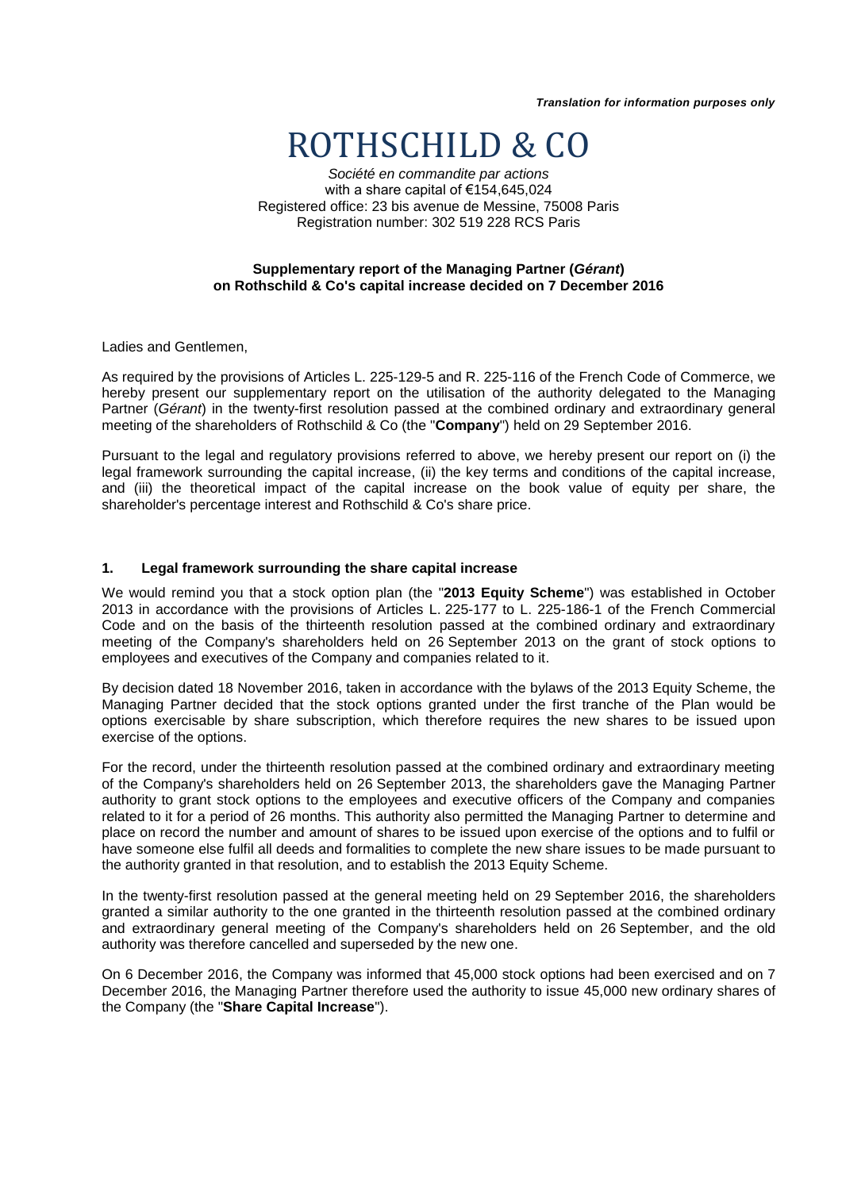*Translation for information purposes only*

# ROTHSCHILD & CO

*Société en commandite par actions* with a share capital of €154,645,024 Registered office: 23 bis avenue de Messine, 75008 Paris Registration number: 302 519 228 RCS Paris

### **Supplementary report of the Managing Partner (***Gérant***) on Rothschild & Co's capital increase decided on 7 December 2016**

Ladies and Gentlemen,

As required by the provisions of Articles L. 225-129-5 and R. 225-116 of the French Code of Commerce, we hereby present our supplementary report on the utilisation of the authority delegated to the Managing Partner (*Gérant*) in the twenty-first resolution passed at the combined ordinary and extraordinary general meeting of the shareholders of Rothschild & Co (the "**Company**") held on 29 September 2016.

Pursuant to the legal and regulatory provisions referred to above, we hereby present our report on (i) the legal framework surrounding the capital increase, (ii) the key terms and conditions of the capital increase, and (iii) the theoretical impact of the capital increase on the book value of equity per share, the shareholder's percentage interest and Rothschild & Co's share price.

### **1. Legal framework surrounding the share capital increase**

We would remind you that a stock option plan (the "**2013 Equity Scheme**") was established in October 2013 in accordance with the provisions of Articles L. 225-177 to L. 225-186-1 of the French Commercial Code and on the basis of the thirteenth resolution passed at the combined ordinary and extraordinary meeting of the Company's shareholders held on 26 September 2013 on the grant of stock options to employees and executives of the Company and companies related to it.

By decision dated 18 November 2016, taken in accordance with the bylaws of the 2013 Equity Scheme, the Managing Partner decided that the stock options granted under the first tranche of the Plan would be options exercisable by share subscription, which therefore requires the new shares to be issued upon exercise of the options.

For the record, under the thirteenth resolution passed at the combined ordinary and extraordinary meeting of the Company's shareholders held on 26 September 2013, the shareholders gave the Managing Partner authority to grant stock options to the employees and executive officers of the Company and companies related to it for a period of 26 months. This authority also permitted the Managing Partner to determine and place on record the number and amount of shares to be issued upon exercise of the options and to fulfil or have someone else fulfil all deeds and formalities to complete the new share issues to be made pursuant to the authority granted in that resolution, and to establish the 2013 Equity Scheme.

In the twenty-first resolution passed at the general meeting held on 29 September 2016, the shareholders granted a similar authority to the one granted in the thirteenth resolution passed at the combined ordinary and extraordinary general meeting of the Company's shareholders held on 26 September, and the old authority was therefore cancelled and superseded by the new one.

On 6 December 2016, the Company was informed that 45,000 stock options had been exercised and on 7 December 2016, the Managing Partner therefore used the authority to issue 45,000 new ordinary shares of the Company (the "**Share Capital Increase**").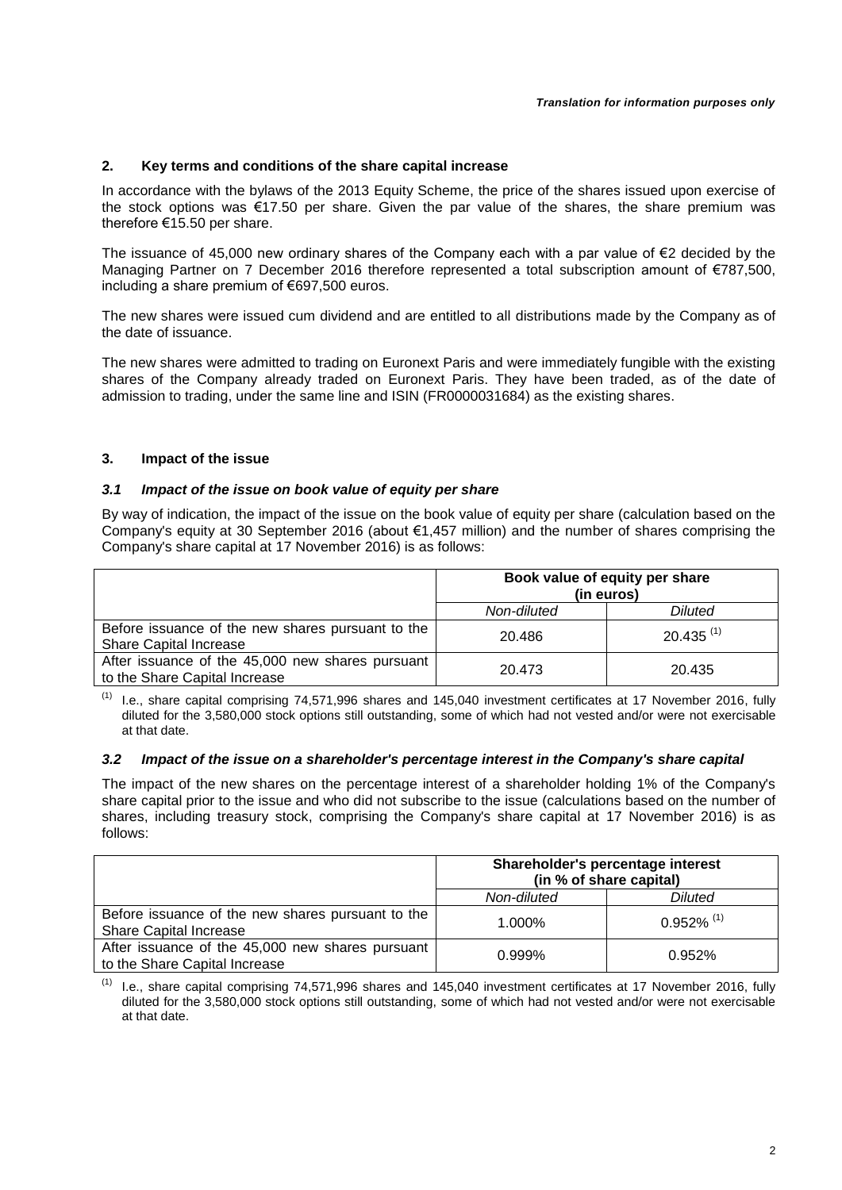## **2. Key terms and conditions of the share capital increase**

In accordance with the bylaws of the 2013 Equity Scheme, the price of the shares issued upon exercise of the stock options was €17.50 per share. Given the par value of the shares, the share premium was therefore €15.50 per share.

The issuance of 45,000 new ordinary shares of the Company each with a par value of €2 decided by the Managing Partner on 7 December 2016 therefore represented a total subscription amount of €787,500, including a share premium of €697,500 euros.

The new shares were issued cum dividend and are entitled to all distributions made by the Company as of the date of issuance.

The new shares were admitted to trading on Euronext Paris and were immediately fungible with the existing shares of the Company already traded on Euronext Paris. They have been traded, as of the date of admission to trading, under the same line and ISIN (FR0000031684) as the existing shares.

## **3. Impact of the issue**

### *3.1 Impact of the issue on book value of equity per share*

By way of indication, the impact of the issue on the book value of equity per share (calculation based on the Company's equity at 30 September 2016 (about €1,457 million) and the number of shares comprising the Company's share capital at 17 November 2016) is as follows:

|                                                                                    | Book value of equity per share<br>(in euros) |                         |
|------------------------------------------------------------------------------------|----------------------------------------------|-------------------------|
|                                                                                    | Non-diluted                                  | <b>Diluted</b>          |
| Before issuance of the new shares pursuant to the<br><b>Share Capital Increase</b> | 20.486                                       | $20.435$ <sup>(1)</sup> |
| After issuance of the 45,000 new shares pursuant<br>to the Share Capital Increase  | 20.473                                       | 20.435                  |

(1) I.e., share capital comprising 74,571,996 shares and 145,040 investment certificates at 17 November 2016, fully diluted for the 3,580,000 stock options still outstanding, some of which had not vested and/or were not exercisable at that date.

### *3.2 Impact of the issue on a shareholder's percentage interest in the Company's share capital*

The impact of the new shares on the percentage interest of a shareholder holding 1% of the Company's share capital prior to the issue and who did not subscribe to the issue (calculations based on the number of shares, including treasury stock, comprising the Company's share capital at 17 November 2016) is as follows:

|                                                                                    | Shareholder's percentage interest<br>(in % of share capital) |                          |
|------------------------------------------------------------------------------------|--------------------------------------------------------------|--------------------------|
|                                                                                    | Non-diluted                                                  | Diluted                  |
| Before issuance of the new shares pursuant to the<br><b>Share Capital Increase</b> | 1.000%                                                       | $0.952\%$ <sup>(1)</sup> |
| After issuance of the 45,000 new shares pursuant<br>to the Share Capital Increase  | $0.999\%$                                                    | 0.952%                   |

(1) I.e., share capital comprising 74,571,996 shares and 145,040 investment certificates at 17 November 2016, fully diluted for the 3,580,000 stock options still outstanding, some of which had not vested and/or were not exercisable at that date.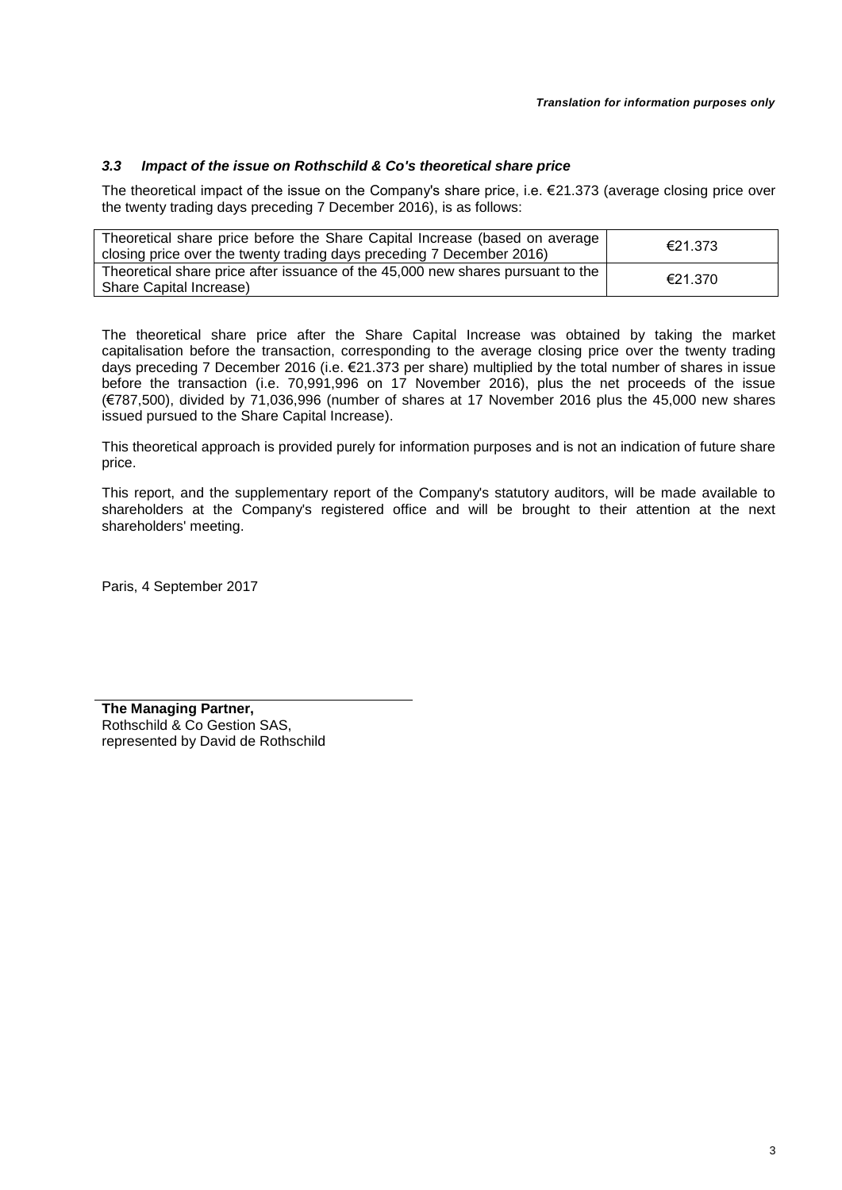## *3.3 Impact of the issue on Rothschild & Co's theoretical share price*

The theoretical impact of the issue on the Company's share price, i.e. €21.373 (average closing price over the twenty trading days preceding 7 December 2016), is as follows:

| Theoretical share price before the Share Capital Increase (based on average<br>closing price over the twenty trading days preceding 7 December 2016) | €21.373 |
|------------------------------------------------------------------------------------------------------------------------------------------------------|---------|
| Theoretical share price after issuance of the 45,000 new shares pursuant to the<br>Share Capital Increase)                                           | €21.370 |

The theoretical share price after the Share Capital Increase was obtained by taking the market capitalisation before the transaction, corresponding to the average closing price over the twenty trading days preceding 7 December 2016 (i.e. €21.373 per share) multiplied by the total number of shares in issue before the transaction (i.e. 70,991,996 on 17 November 2016), plus the net proceeds of the issue (€787,500), divided by 71,036,996 (number of shares at 17 November 2016 plus the 45,000 new shares issued pursued to the Share Capital Increase).

This theoretical approach is provided purely for information purposes and is not an indication of future share price.

This report, and the supplementary report of the Company's statutory auditors, will be made available to shareholders at the Company's registered office and will be brought to their attention at the next shareholders' meeting.

Paris, 4 September 2017

**The Managing Partner,** Rothschild & Co Gestion SAS, represented by David de Rothschild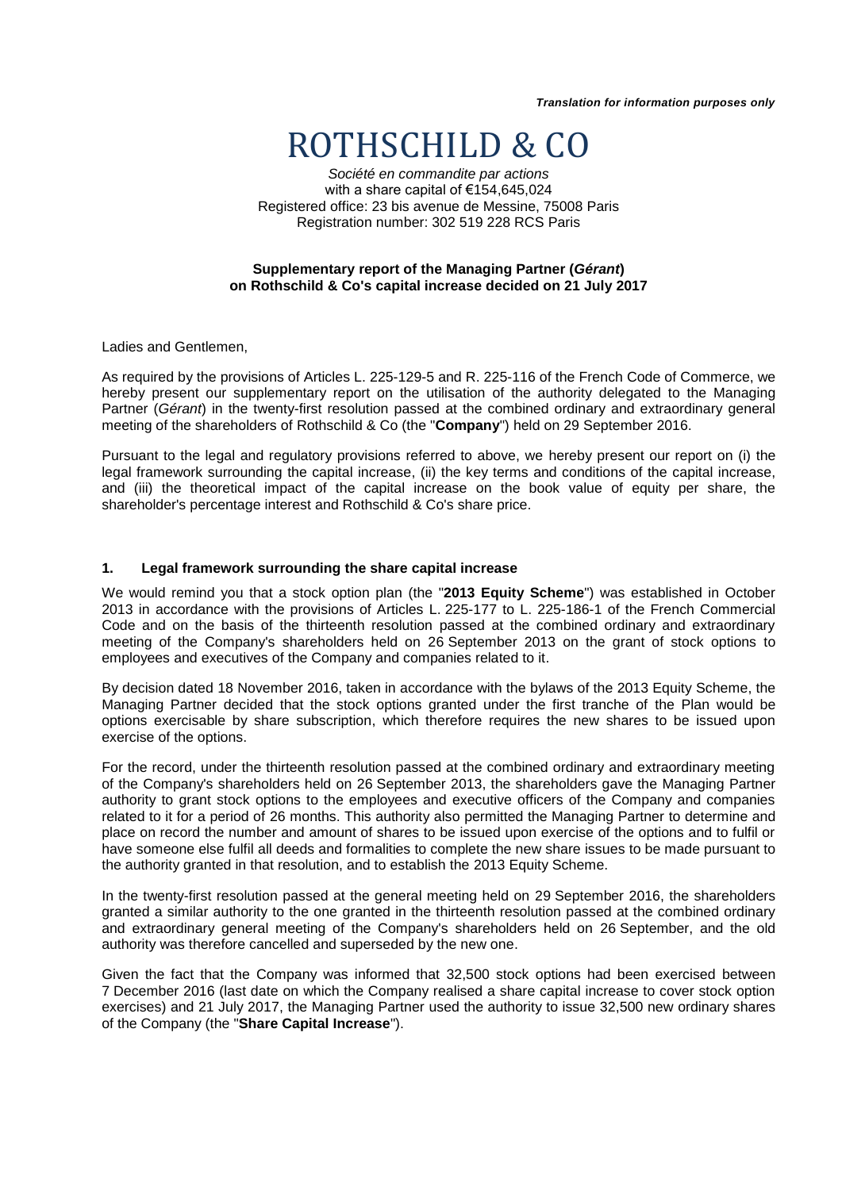*Translation for information purposes only*

# ROTHSCHILD & CO

*Société en commandite par actions* with a share capital of €154,645,024 Registered office: 23 bis avenue de Messine, 75008 Paris Registration number: 302 519 228 RCS Paris

### **Supplementary report of the Managing Partner (***Gérant***) on Rothschild & Co's capital increase decided on 21 July 2017**

Ladies and Gentlemen,

As required by the provisions of Articles L. 225-129-5 and R. 225-116 of the French Code of Commerce, we hereby present our supplementary report on the utilisation of the authority delegated to the Managing Partner (*Gérant*) in the twenty-first resolution passed at the combined ordinary and extraordinary general meeting of the shareholders of Rothschild & Co (the "**Company**") held on 29 September 2016.

Pursuant to the legal and regulatory provisions referred to above, we hereby present our report on (i) the legal framework surrounding the capital increase, (ii) the key terms and conditions of the capital increase, and (iii) the theoretical impact of the capital increase on the book value of equity per share, the shareholder's percentage interest and Rothschild & Co's share price.

### **1. Legal framework surrounding the share capital increase**

We would remind you that a stock option plan (the "**2013 Equity Scheme**") was established in October 2013 in accordance with the provisions of Articles L. 225-177 to L. 225-186-1 of the French Commercial Code and on the basis of the thirteenth resolution passed at the combined ordinary and extraordinary meeting of the Company's shareholders held on 26 September 2013 on the grant of stock options to employees and executives of the Company and companies related to it.

By decision dated 18 November 2016, taken in accordance with the bylaws of the 2013 Equity Scheme, the Managing Partner decided that the stock options granted under the first tranche of the Plan would be options exercisable by share subscription, which therefore requires the new shares to be issued upon exercise of the options.

For the record, under the thirteenth resolution passed at the combined ordinary and extraordinary meeting of the Company's shareholders held on 26 September 2013, the shareholders gave the Managing Partner authority to grant stock options to the employees and executive officers of the Company and companies related to it for a period of 26 months. This authority also permitted the Managing Partner to determine and place on record the number and amount of shares to be issued upon exercise of the options and to fulfil or have someone else fulfil all deeds and formalities to complete the new share issues to be made pursuant to the authority granted in that resolution, and to establish the 2013 Equity Scheme.

In the twenty-first resolution passed at the general meeting held on 29 September 2016, the shareholders granted a similar authority to the one granted in the thirteenth resolution passed at the combined ordinary and extraordinary general meeting of the Company's shareholders held on 26 September, and the old authority was therefore cancelled and superseded by the new one.

Given the fact that the Company was informed that 32,500 stock options had been exercised between 7 December 2016 (last date on which the Company realised a share capital increase to cover stock option exercises) and 21 July 2017, the Managing Partner used the authority to issue 32,500 new ordinary shares of the Company (the "**Share Capital Increase**").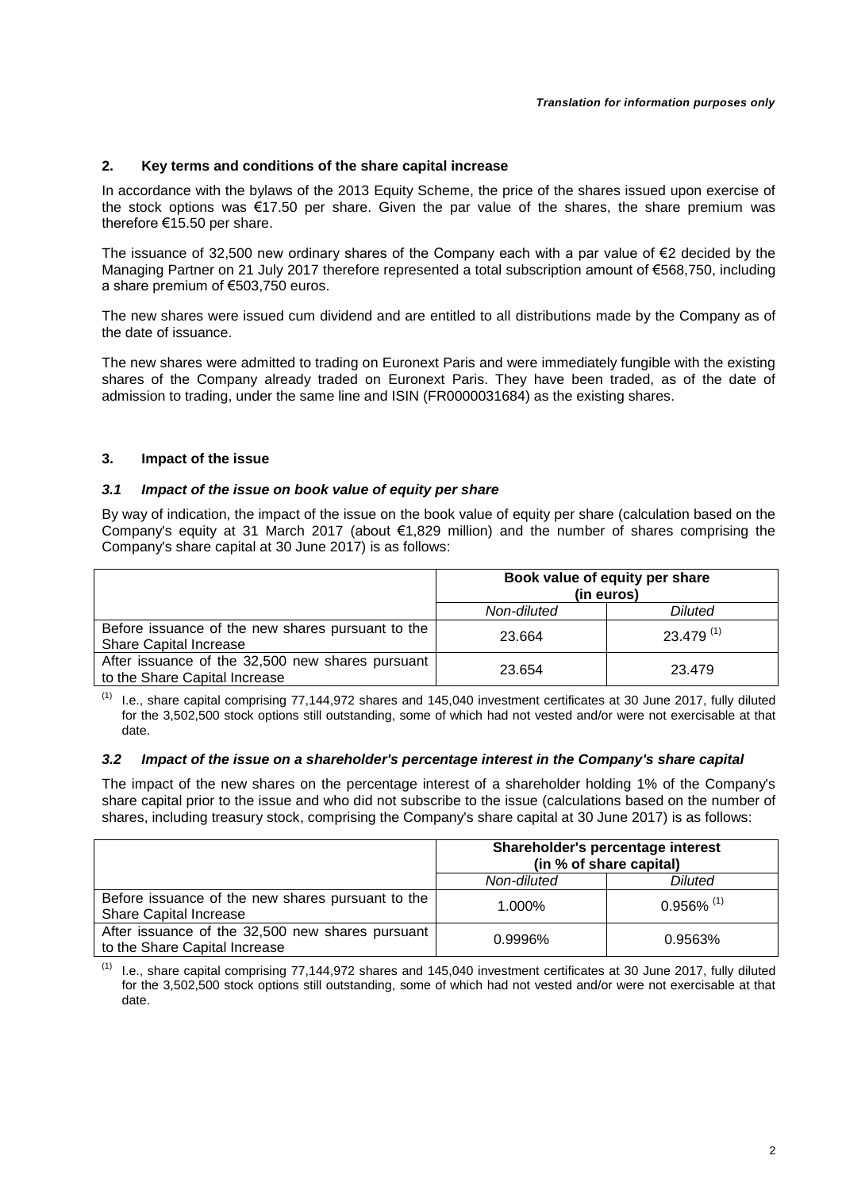## **2. Key terms and conditions of the share capital increase**

In accordance with the bylaws of the 2013 Equity Scheme, the price of the shares issued upon exercise of the stock options was €17.50 per share. Given the par value of the shares, the share premium was therefore €15.50 per share.

The issuance of 32,500 new ordinary shares of the Company each with a par value of €2 decided by the Managing Partner on 21 July 2017 therefore represented a total subscription amount of €568,750, including a share premium of €503,750 euros.

The new shares were issued cum dividend and are entitled to all distributions made by the Company as of the date of issuance.

The new shares were admitted to trading on Euronext Paris and were immediately fungible with the existing shares of the Company already traded on Euronext Paris. They have been traded, as of the date of admission to trading, under the same line and ISIN (FR0000031684) as the existing shares.

## **3. Impact of the issue**

### *3.1 Impact of the issue on book value of equity per share*

By way of indication, the impact of the issue on the book value of equity per share (calculation based on the Company's equity at 31 March 2017 (about €1,829 million) and the number of shares comprising the Company's share capital at 30 June 2017) is as follows:

|                                                                                    | Book value of equity per share<br>(in euros) |                |
|------------------------------------------------------------------------------------|----------------------------------------------|----------------|
|                                                                                    | Non-diluted                                  | <b>Diluted</b> |
| Before issuance of the new shares pursuant to the<br><b>Share Capital Increase</b> | 23.664                                       | $23.479^{(1)}$ |
| After issuance of the 32,500 new shares pursuant<br>to the Share Capital Increase  | 23.654                                       | 23.479         |

 $(1)$  I.e., share capital comprising 77,144,972 shares and 145,040 investment certificates at 30 June 2017, fully diluted for the 3,502,500 stock options still outstanding, some of which had not vested and/or were not exercisable at that date.

### *3.2 Impact of the issue on a shareholder's percentage interest in the Company's share capital*

The impact of the new shares on the percentage interest of a shareholder holding 1% of the Company's share capital prior to the issue and who did not subscribe to the issue (calculations based on the number of shares, including treasury stock, comprising the Company's share capital at 30 June 2017) is as follows:

|                                                                                    | Shareholder's percentage interest<br>(in % of share capital) |                          |
|------------------------------------------------------------------------------------|--------------------------------------------------------------|--------------------------|
|                                                                                    | Non-diluted                                                  | <b>Diluted</b>           |
| Before issuance of the new shares pursuant to the<br><b>Share Capital Increase</b> | 1.000%                                                       | $0.956\%$ <sup>(1)</sup> |
| After issuance of the 32,500 new shares pursuant<br>to the Share Capital Increase  | 0.9996%                                                      | 0.9563%                  |

 $(1)$  I.e., share capital comprising 77,144,972 shares and 145,040 investment certificates at 30 June 2017, fully diluted for the 3,502,500 stock options still outstanding, some of which had not vested and/or were not exercisable at that date.